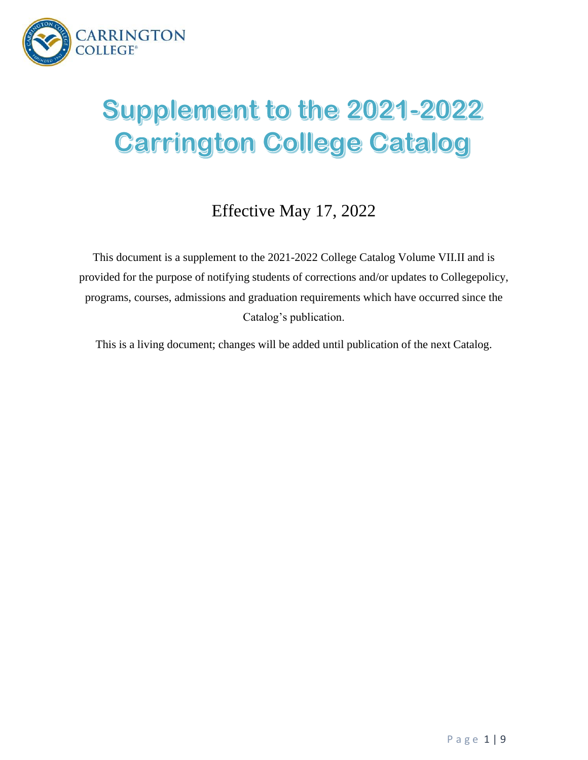

# Supplement to the 2021-2022 **Carrington College Catalog**

# Effective May 17, 2022

This document is a supplement to the 2021-2022 College Catalog Volume VII.II and is provided for the purpose of notifying students of corrections and/or updates to Collegepolicy, programs, courses, admissions and graduation requirements which have occurred since the Catalog's publication.

This is a living document; changes will be added until publication of the next Catalog.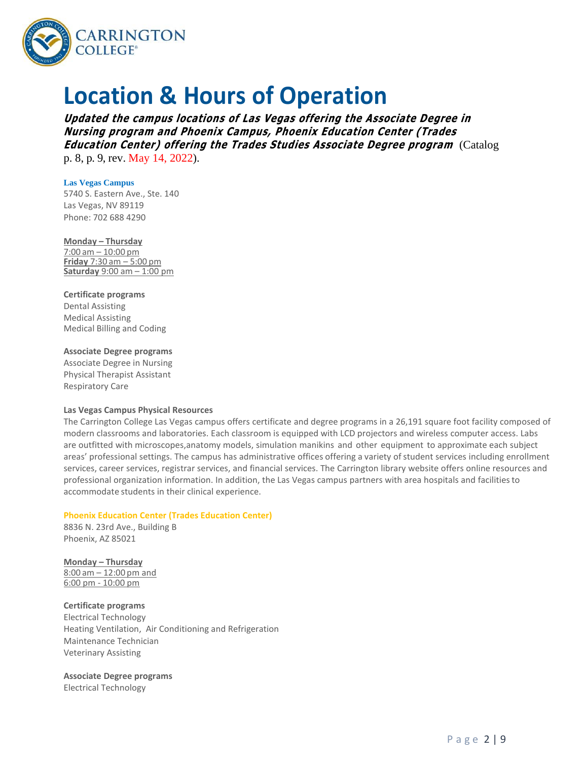

# **Location & Hours of Operation**

**Updated the campus locations of Las Vegas offering the Associate Degree in Nursing program and Phoenix Campus, Phoenix Education Center (Trades Education Center) offering the Trades Studies Associate Degree program** (Catalog p. 8, p. 9, rev. May 14, 2022).

#### **Las Vegas Campus**

5740 S. Eastern Ave., Ste. 140 Las Vegas, NV 89119 Phone: 702 688 4290

**Monday – Thursday** 7:00 am – 10:00 pm **Friday** 7:30 am – 5:00 pm **Saturday** 9:00 am – 1:00 pm

#### **Certificate programs**

Dental Assisting Medical Assisting Medical Billing and Coding

#### **Associate Degree programs**

Associate Degree in Nursing Physical Therapist Assistant Respiratory Care

#### **Las Vegas Campus Physical Resources**

The Carrington College Las Vegas campus offers certificate and degree programs in a 26,191 square foot facility composed of modern classrooms and laboratories. Each classroom is equipped with LCD projectors and wireless computer access. Labs are outfitted with microscopes,anatomy models, simulation manikins and other equipment to approximate each subject areas' professional settings. The campus has administrative offices offering a variety of student services including enrollment services, career services, registrar services, and financial services. The Carrington library website offers online resources and professional organization information. In addition, the Las Vegas campus partners with area hospitals and facilitiesto accommodate students in their clinical experience.

#### **Phoenix Education Center (Trades Education Center)**

8836 N. 23rd Ave., Building B Phoenix, AZ 85021

**Monday – Thursday** 8:00 am – 12:00 pm and 6:00 pm - 10:00 pm

**Certificate programs**

Electrical Technology Heating Ventilation, Air Conditioning and Refrigeration Maintenance Technician Veterinary Assisting

**Associate Degree programs** Electrical Technology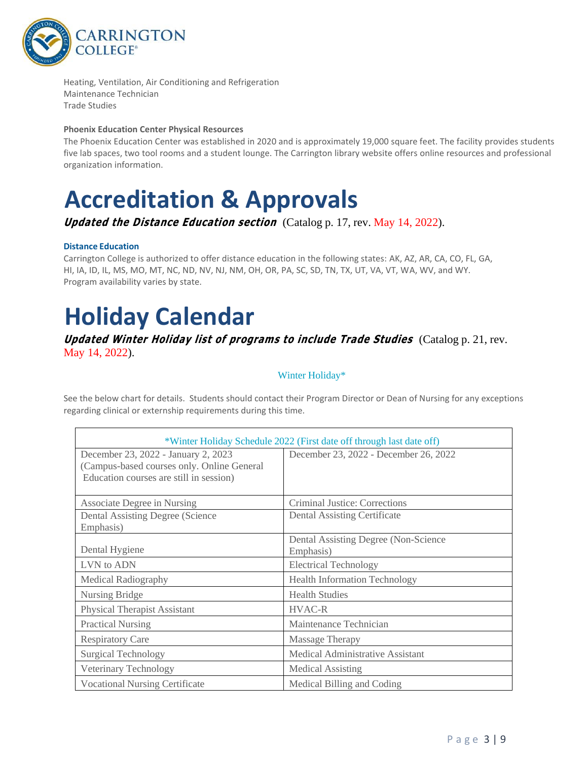

Heating, Ventilation, Air Conditioning and Refrigeration Maintenance Technician Trade Studies

#### **Phoenix Education Center Physical Resources**

The Phoenix Education Center was established in 2020 and is approximately 19,000 square feet. The facility provides students five lab spaces, two tool rooms and a student lounge. The Carrington library website offers online resources and professional organization information.

# **Accreditation & Approvals**

**Updated the Distance Education section** (Catalog p. 17, rev. May 14, 2022).

#### **Distance Education**

Carrington College is authorized to offer distance education in the following states: AK, AZ, AR, CA, CO, FL, GA, HI, IA, ID, IL, MS, MO, MT, NC, ND, NV, NJ, NM, OH, OR, PA, SC, SD, TN, TX, UT, VA, VT, WA, WV, and WY. Program availability varies by state.

# **Holiday Calendar**

### **Updated Winter Holiday list of programs to include Trade Studies**(Catalog p. 21, rev. May 14, 2022).

### Winter Holiday\*

See the below chart for details. Students should contact their Program Director or Dean of Nursing for any exceptions regarding clinical or externship requirements during this time.

| *Winter Holiday Schedule 2022 (First date off through last date off)                                                         |                                                    |  |  |  |  |  |
|------------------------------------------------------------------------------------------------------------------------------|----------------------------------------------------|--|--|--|--|--|
| December 23, 2022 - January 2, 2023<br>(Campus-based courses only. Online General<br>Education courses are still in session) | December 23, 2022 - December 26, 2022              |  |  |  |  |  |
| <b>Associate Degree in Nursing</b>                                                                                           | Criminal Justice: Corrections                      |  |  |  |  |  |
| <b>Dental Assisting Degree (Science</b><br>Emphasis)                                                                         | <b>Dental Assisting Certificate</b>                |  |  |  |  |  |
| Dental Hygiene                                                                                                               | Dental Assisting Degree (Non-Science)<br>Emphasis) |  |  |  |  |  |
| LVN to ADN                                                                                                                   | <b>Electrical Technology</b>                       |  |  |  |  |  |
| <b>Medical Radiography</b>                                                                                                   | <b>Health Information Technology</b>               |  |  |  |  |  |
| Nursing Bridge                                                                                                               | <b>Health Studies</b>                              |  |  |  |  |  |
| <b>Physical Therapist Assistant</b>                                                                                          | <b>HVAC-R</b>                                      |  |  |  |  |  |
| <b>Practical Nursing</b>                                                                                                     | Maintenance Technician                             |  |  |  |  |  |
| <b>Respiratory Care</b>                                                                                                      | Massage Therapy                                    |  |  |  |  |  |
| <b>Surgical Technology</b>                                                                                                   | Medical Administrative Assistant                   |  |  |  |  |  |
| Veterinary Technology                                                                                                        | Medical Assisting                                  |  |  |  |  |  |
| <b>Vocational Nursing Certificate</b>                                                                                        | Medical Billing and Coding                         |  |  |  |  |  |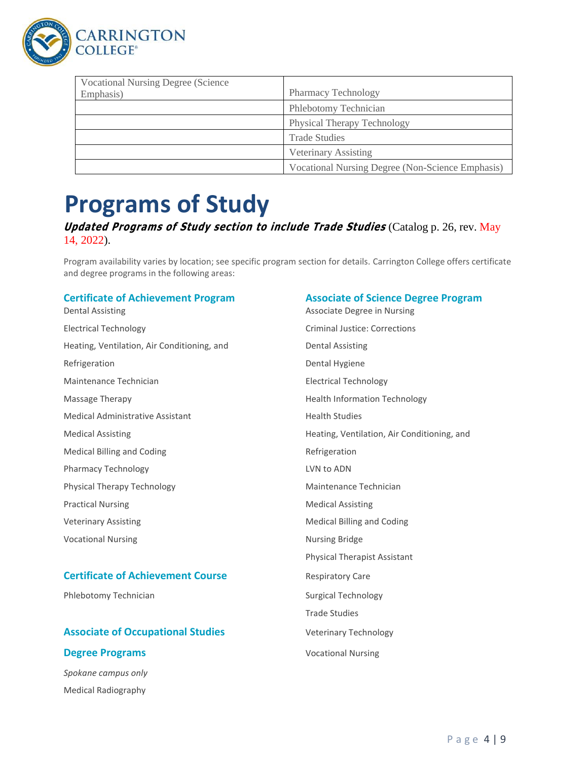

| <b>Vocational Nursing Degree (Science)</b> |                                                  |
|--------------------------------------------|--------------------------------------------------|
| Emphasis)                                  | <b>Pharmacy Technology</b>                       |
|                                            | Phlebotomy Technician                            |
|                                            | <b>Physical Therapy Technology</b>               |
|                                            | <b>Trade Studies</b>                             |
|                                            | Veterinary Assisting                             |
|                                            | Vocational Nursing Degree (Non-Science Emphasis) |

# **Programs of Study**

### **Updated Programs of Study section to include Trade Studies** (Catalog p. 26, rev. May 14, 2022).

Program availability varies by location; see specific program section for details. Carrington College offers certificate and degree programs in the following areas:

Dental Assisting **Associate Degree in Nursing** Change and Associate Degree in Nursing Electrical Technology Criminal Justice: Corrections Heating, Ventilation, Air Conditioning, and Dental Assisting Refrigeration **Dental Hygiene** Maintenance Technician **Electrical Technology** Massage Therapy **Health Information Technology Health Information Technology** Medical Administrative Assistant Medical Administrative Assistant Medical Assisting **Heating** Heating, Ventilation, Air Conditioning, and Medical Billing and Coding Refrigeration Pharmacy Technology **LACK CONNOTE CONNOTE A LACK CONNOTE CONNOTE CONNOTE CONNOTE CONNOTE CONNOTE CONNOTE CONNOTE CONNOTE CONNOTE CONNOTE CONNOTE CONNOTE CONNOTE CONNOTE CONNOTE CONNOTE CONNOTE CONNOTE CONNOTE CONNOTE CONNO** Physical Therapy Technology **Maintenance Technician** Practical Nursing **Medical Assisting** Medical Assisting Veterinary Assisting The Medical Billing and Coding Theorem and The Medical Billing and Coding Vocational Nursing Nursing Bridge

### **Certificate of Achievement Course** Respiratory Care

Phlebotomy Technician Surgical Technology

# **Associate of Occupational Studies** Veterinary Technology

### **Degree Programs Vocational Nursing**

*Spokane campus only* Medical Radiography

### **Certificate of Achievement Program Associate of Science Degree Program**

Physical Therapist Assistant Trade Studies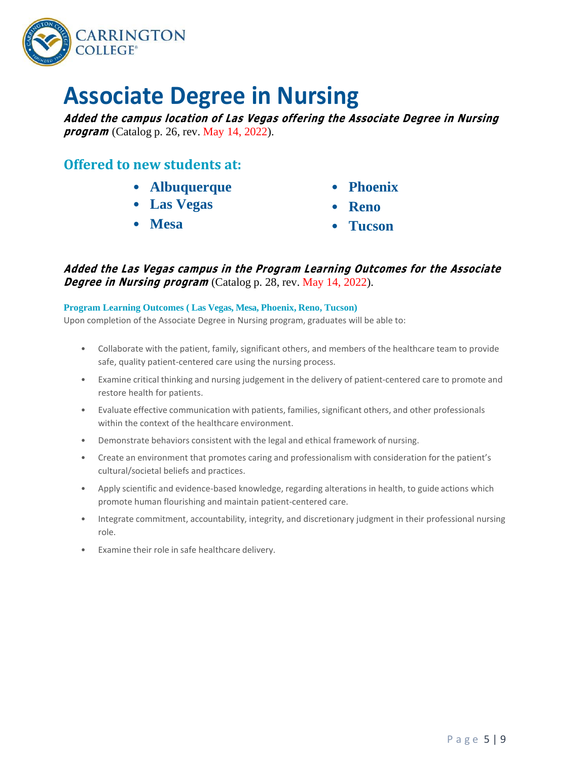

# **Associate Degree in Nursing**

**Added the campus location of Las Vegas offering the Associate Degree in Nursing**  *program* (Catalog p. 26, rev. May 14, 2022).

## **Offered to new students at:**

- **Albuquerque** • **Phoenix**
- **Las Vegas** • **Reno**
- **Mesa** • **Tucson**

**Added the Las Vegas campus in the Program Learning Outcomes for the Associate Degree in Nursing program** (Catalog p. 28, rev. May 14, 2022).

### **Program Learning Outcomes ( Las Vegas, Mesa, Phoenix, Reno, Tucson)**

Upon completion of the Associate Degree in Nursing program, graduates will be able to:

- Collaborate with the patient, family, significant others, and members of the healthcare team to provide safe, quality patient-centered care using the nursing process.
- Examine critical thinking and nursing judgement in the delivery of patient-centered care to promote and restore health for patients.
- Evaluate effective communication with patients, families, significant others, and other professionals within the context of the healthcare environment.
- Demonstrate behaviors consistent with the legal and ethical framework of nursing.
- Create an environment that promotes caring and professionalism with consideration for the patient's cultural/societal beliefs and practices.
- Apply scientific and evidence-based knowledge, regarding alterations in health, to guide actions which promote human flourishing and maintain patient-centered care.
- Integrate commitment, accountability, integrity, and discretionary judgment in their professional nursing role.
- Examine their role in safe healthcare delivery.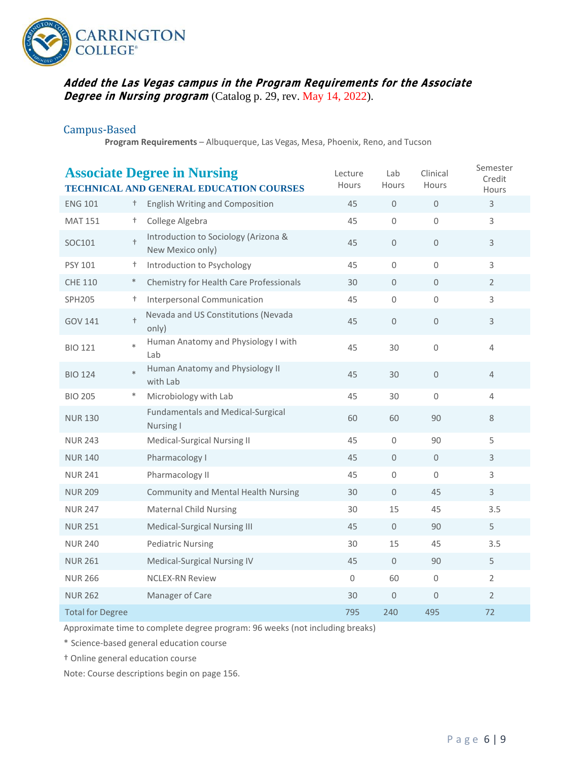

### **Added the Las Vegas campus in the Program Requirements for the Associate Degree in Nursing program** (Catalog p. 29, rev. May 14, 2022).

### Campus-Based

**Program Requirements** – Albuquerque, Las Vegas, Mesa, Phoenix, Reno, and Tucson

| Semester<br><b>Associate Degree in Nursing</b><br>Lab<br>Clinical<br>Lecture<br>Credit<br><b>Hours</b><br><b>Hours</b><br>Hours<br><b>TECHNICAL AND GENERAL EDUCATION COURSES</b><br>Hours |               |                                                          |                     |                     |                     |                |
|--------------------------------------------------------------------------------------------------------------------------------------------------------------------------------------------|---------------|----------------------------------------------------------|---------------------|---------------------|---------------------|----------------|
| <b>ENG 101</b>                                                                                                                                                                             | $^{+}$        | <b>English Writing and Composition</b>                   | 45                  | $\mathsf{O}\xspace$ | $\mathsf{O}\xspace$ | 3              |
| <b>MAT 151</b>                                                                                                                                                                             | $^{+}$        | College Algebra                                          | 45                  | $\mathbf 0$         | 0                   | 3              |
| SOC101                                                                                                                                                                                     | $+$           | Introduction to Sociology (Arizona &<br>New Mexico only) | 45                  | $\mathbf 0$         | $\mathsf{O}\xspace$ | $\mathsf{3}$   |
| PSY 101                                                                                                                                                                                    | $^{+}$        | Introduction to Psychology                               | 45                  | $\mathsf{O}\xspace$ | $\mathbf 0$         | 3              |
| <b>CHE 110</b>                                                                                                                                                                             | $\ast$        | Chemistry for Health Care Professionals                  | 30                  | $\mathbf{0}$        | $\mathbf{0}$        | $\overline{2}$ |
| <b>SPH205</b>                                                                                                                                                                              | $^{+}$        | Interpersonal Communication                              | 45                  | $\mathsf{O}\xspace$ | $\mathsf{O}\xspace$ | 3              |
| GOV 141                                                                                                                                                                                    | $^\mathrm{+}$ | Nevada and US Constitutions (Nevada<br>only)             | 45                  | $\mathsf{O}\xspace$ | $\mathbf 0$         | $\mathsf{3}$   |
| <b>BIO 121</b>                                                                                                                                                                             | $\ast$        | Human Anatomy and Physiology I with<br>Lab               | 45                  | 30                  | $\mathbf 0$         | $\overline{4}$ |
| <b>BIO 124</b>                                                                                                                                                                             | $\ast$        | Human Anatomy and Physiology II<br>with Lab              | 45                  | 30                  | $\mathbf{0}$        | $\overline{4}$ |
| <b>BIO 205</b>                                                                                                                                                                             | $\ast$        | Microbiology with Lab                                    | 45                  | 30                  | $\Omega$            | 4              |
| <b>NUR 130</b>                                                                                                                                                                             |               | <b>Fundamentals and Medical-Surgical</b><br>Nursing I    | 60                  | 60                  | 90                  | $\,8\,$        |
| <b>NUR 243</b>                                                                                                                                                                             |               | Medical-Surgical Nursing II                              | 45                  | 0                   | 90                  | 5              |
| <b>NUR 140</b>                                                                                                                                                                             |               | Pharmacology I                                           | 45                  | 0                   | $\mathsf{O}\xspace$ | $\mathsf{3}$   |
| <b>NUR 241</b>                                                                                                                                                                             |               | Pharmacology II                                          | 45                  | $\mathbf 0$         | $\Omega$            | 3              |
| <b>NUR 209</b>                                                                                                                                                                             |               | <b>Community and Mental Health Nursing</b>               | 30                  | $\mathsf{O}\xspace$ | 45                  | $\mathsf{3}$   |
| <b>NUR 247</b>                                                                                                                                                                             |               | <b>Maternal Child Nursing</b>                            | 30                  | 15                  | 45                  | 3.5            |
| <b>NUR 251</b>                                                                                                                                                                             |               | Medical-Surgical Nursing III                             | 45                  | $\mathbf{0}$        | 90                  | 5              |
| <b>NUR 240</b>                                                                                                                                                                             |               | <b>Pediatric Nursing</b>                                 | 30                  | 15                  | 45                  | 3.5            |
| <b>NUR 261</b>                                                                                                                                                                             |               | Medical-Surgical Nursing IV                              | 45                  | $\overline{0}$      | 90                  | 5              |
| <b>NUR 266</b>                                                                                                                                                                             |               | <b>NCLEX-RN Review</b>                                   | $\mathsf{O}\xspace$ | 60                  | $\mathbf 0$         | $\overline{2}$ |
| <b>NUR 262</b>                                                                                                                                                                             |               | Manager of Care                                          | 30                  | $\mathsf{O}\xspace$ | 0                   | $\overline{2}$ |
| <b>Total for Degree</b>                                                                                                                                                                    |               |                                                          | 795                 | 240                 | 495                 | 72             |

Approximate time to complete degree program: 96 weeks (not including breaks)

\* Science-based general education course

† Online general education course

Note: Course descriptions begin on page 156.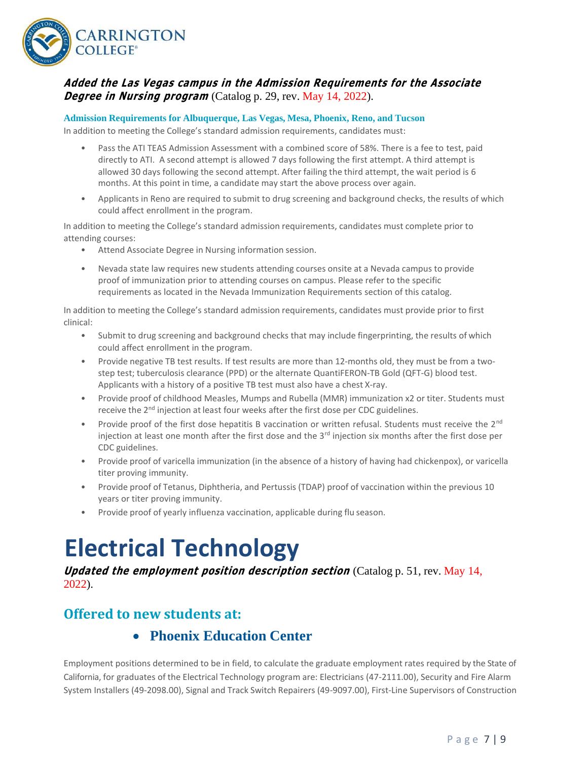

### **Added the Las Vegas campus in the Admission Requirements for the Associate Degree in Nursing program** (Catalog p. 29, rev. May 14, 2022).

**Admission Requirements for Albuquerque, Las Vegas, Mesa, Phoenix, Reno, and Tucson**

In addition to meeting the College's standard admission requirements, candidates must:

- Pass the ATI TEAS Admission Assessment with a combined score of 58%. There is a fee to test, paid directly to ATI. A second attempt is allowed 7 days following the first attempt. A third attempt is allowed 30 days following the second attempt. After failing the third attempt, the wait period is 6 months. At this point in time, a candidate may start the above process over again.
- Applicants in Reno are required to submit to drug screening and background checks, the results of which could affect enrollment in the program.

In addition to meeting the College's standard admission requirements, candidates must complete prior to attending courses:

- Attend Associate Degree in Nursing information session.
- Nevada state law requires new students attending courses onsite at a Nevada campus to provide proof of immunization prior to attending courses on campus. Please refer to the specific requirements as located in the Nevada Immunization Requirements section of this catalog.

In addition to meeting the College's standard admission requirements, candidates must provide prior to first clinical:

- Submit to drug screening and background checks that may include fingerprinting, the results of which could affect enrollment in the program.
- Provide negative TB test results. If test results are more than 12-months old, they must be from a twostep test; tuberculosis clearance (PPD) or the alternate QuantiFERON-TB Gold (QFT-G) blood test. Applicants with a history of a positive TB test must also have a chest X-ray.
- Provide proof of childhood Measles, Mumps and Rubella (MMR) immunization x2 or titer. Students must receive the 2<sup>nd</sup> injection at least four weeks after the first dose per CDC guidelines.
- Provide proof of the first dose hepatitis B vaccination or written refusal. Students must receive the 2<sup>nd</sup> injection at least one month after the first dose and the  $3<sup>rd</sup>$  injection six months after the first dose per CDC guidelines.
- Provide proof of varicella immunization (in the absence of a history of having had chickenpox), or varicella titer proving immunity.
- Provide proof of Tetanus, Diphtheria, and Pertussis (TDAP) proof of vaccination within the previous 10 years or titer proving immunity.
- Provide proof of yearly influenza vaccination, applicable during flu season.

# **Electrical Technology**

**Updated the employment position description section** (Catalog p. 51, rev. May 14, 2022).

# **Offered to new students at:**

# • **Phoenix Education Center**

Employment positions determined to be in field, to calculate the graduate employment rates required by the State of California, for graduates of the Electrical Technology program are: Electricians (47-2111.00), Security and Fire Alarm System Installers (49-2098.00), Signal and Track Switch Repairers (49-9097.00), First-Line Supervisors of Construction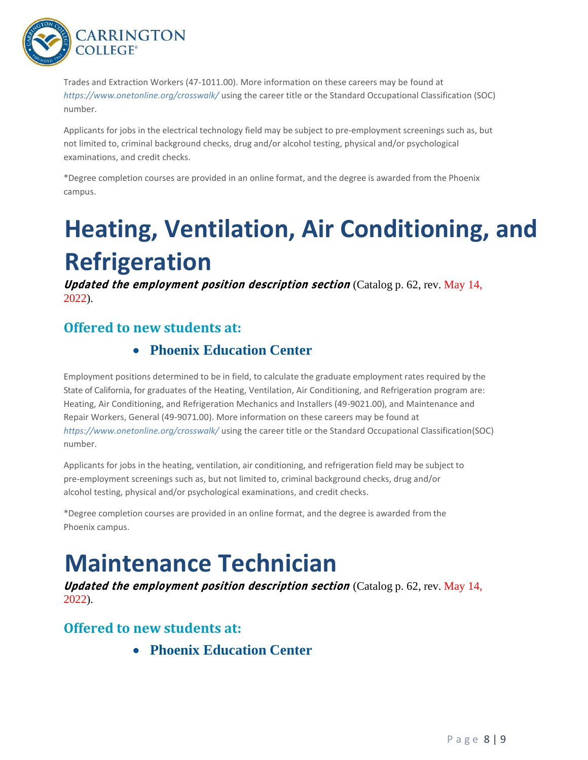

Trades and Extraction Workers (47-1011.00). More information on these careers may be found at *<https://www.onetonline.org/crosswalk/>*using the career title or the Standard Occupational Classification (SOC) number.

Applicants for jobs in the electrical technology field may be subject to pre-employment screenings such as, but not limited to, criminal background checks, drug and/or alcohol testing, physical and/or psychological examinations, and credit checks.

\*Degree completion courses are provided in an online format, and the degree is awarded from the Phoenix campus.

# **Heating, Ventilation, Air Conditioning, and Refrigeration**

**Updated the employment position description section** (Catalog p. 62, rev. May 14, 2022).

# **Offered to new students at:**

# • **Phoenix Education Center**

Employment positions determined to be in field, to calculate the graduate employment rates required by the State of California, for graduates of the Heating, Ventilation, Air Conditioning, and Refrigeration program are: Heating, Air Conditioning, and Refrigeration Mechanics and Installers (49-9021.00), and Maintenance and Repair Workers, General (49-9071.00). More information on these careers may be found at *<https://www.onetonline.org/crosswalk/>* using the career title or the Standard Occupational Classification(SOC) number.

Applicants for jobs in the heating, ventilation, air conditioning, and refrigeration field may be subject to pre-employment screenings such as, but not limited to, criminal background checks, drug and/or alcohol testing, physical and/or psychological examinations, and credit checks.

\*Degree completion courses are provided in an online format, and the degree is awarded from the Phoenix campus.

# **Maintenance Technician**

**Updated the employment position description section** (Catalog p. 62, rev. May 14, 2022).

# **Offered to new students at:**

• **Phoenix Education Center**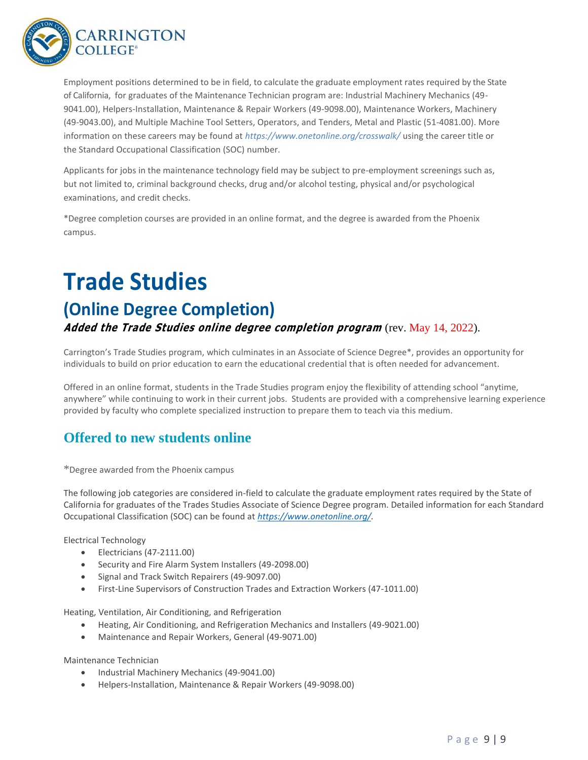

Employment positions determined to be in field, to calculate the graduate employment rates required by the State of California, for graduates of the Maintenance Technician program are: Industrial Machinery Mechanics (49- 9041.00), Helpers-Installation, Maintenance & Repair Workers (49-9098.00), Maintenance Workers, Machinery (49-9043.00), and Multiple Machine Tool Setters, Operators, and Tenders, Metal and Plastic (51-4081.00). More information on these careers may be found at *<https://www.onetonline.org/crosswalk/>* using the career title or the Standard Occupational Classification (SOC) number.

Applicants for jobs in the maintenance technology field may be subject to pre-employment screenings such as, but not limited to, criminal background checks, drug and/or alcohol testing, physical and/or psychological examinations, and credit checks.

\*Degree completion courses are provided in an online format, and the degree is awarded from the Phoenix campus.

# **Trade Studies**

# **(Online Degree Completion)**

**Added the Trade Studies online degree completion program** (rev. May 14, 2022).

Carrington's Trade Studies program, which culminates in an Associate of Science Degree\*, provides an opportunity for individuals to build on prior education to earn the educational credential that is often needed for advancement.

Offered in an online format, students in the Trade Studies program enjoy the flexibility of attending school "anytime, anywhere" while continuing to work in their current jobs. Students are provided with a comprehensive learning experience provided by faculty who complete specialized instruction to prepare them to teach via this medium.

# **Offered to new students online**

\*Degree awarded from the Phoenix campus

The following job categories are considered in-field to calculate the graduate employment rates required by the State of California for graduates of the Trades Studies Associate of Science Degree program. Detailed information for each Standard Occupational Classification (SOC) can be found at *[https://www.onetonline.org/.](https://www.onetonline.org/)*

Electrical Technology

- Electricians (47-2111.00)
- Security and Fire Alarm System Installers (49-2098.00)
- Signal and Track Switch Repairers (49-9097.00)
- First-Line Supervisors of Construction Trades and Extraction Workers (47-1011.00)

Heating, Ventilation, Air Conditioning, and Refrigeration

- Heating, Air Conditioning, and Refrigeration Mechanics and Installers (49-9021.00)
- Maintenance and Repair Workers, General (49-9071.00)

Maintenance Technician

- Industrial Machinery Mechanics (49-9041.00)
- Helpers-Installation, Maintenance & Repair Workers (49-9098.00)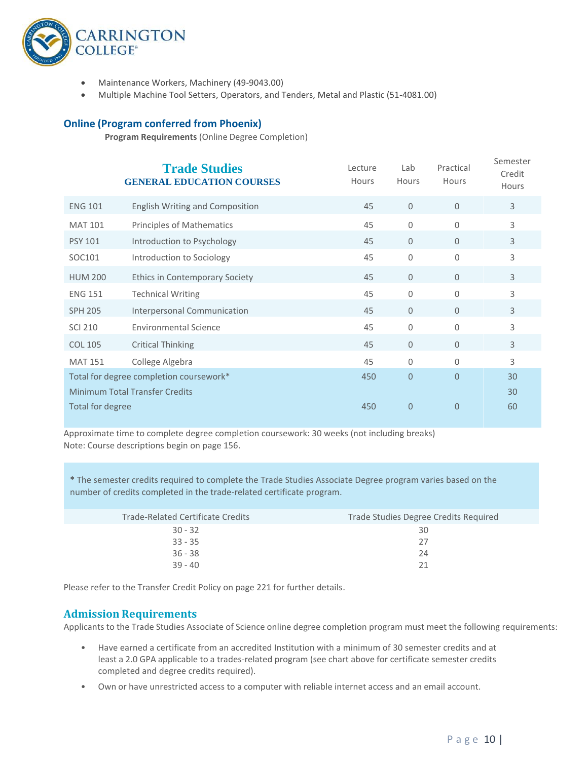

- Maintenance Workers, Machinery (49-9043.00)
- Multiple Machine Tool Setters, Operators, and Tenders, Metal and Plastic (51-4081.00)

#### **Online (Program conferred from Phoenix)**

**Program Requirements** (Online Degree Completion)

|                                         |                  | <b>Trade Studies</b><br><b>GENERAL EDUCATION COURSES</b> | Lecture<br>Hours | Lab<br>Hours   | Practical<br>Hours | Semester<br>Credit<br>Hours |
|-----------------------------------------|------------------|----------------------------------------------------------|------------------|----------------|--------------------|-----------------------------|
|                                         | <b>ENG 101</b>   | <b>English Writing and Composition</b>                   | 45               | $\overline{0}$ | $\mathbf{0}$       | 3                           |
|                                         | <b>MAT 101</b>   | <b>Principles of Mathematics</b>                         | 45               | 0              | $\Omega$           | 3                           |
|                                         | <b>PSY 101</b>   | Introduction to Psychology                               | 45               | $\Omega$       | $\Omega$           | 3                           |
|                                         | SOC101           | Introduction to Sociology                                | 45               | 0              | $\Omega$           | 3                           |
|                                         | <b>HUM 200</b>   | <b>Ethics in Contemporary Society</b>                    | 45               | $\Omega$       | $\Omega$           | 3                           |
|                                         | <b>ENG 151</b>   | <b>Technical Writing</b>                                 | 45               | $\Omega$       | $\Omega$           | 3                           |
|                                         | <b>SPH 205</b>   | Interpersonal Communication                              | 45               | $\Omega$       | $\Omega$           | $\overline{3}$              |
|                                         | <b>SCI 210</b>   | <b>Environmental Science</b>                             | 45               | 0              | $\Omega$           | 3                           |
|                                         | <b>COL 105</b>   | <b>Critical Thinking</b>                                 | 45               | $\mathbf{0}$   | $\Omega$           | $\mathsf{3}$                |
|                                         | <b>MAT 151</b>   | College Algebra                                          | 45               | 0              | 0                  | 3                           |
| Total for degree completion coursework* |                  | 450                                                      | $\overline{0}$   | 0              | 30                 |                             |
|                                         |                  | <b>Minimum Total Transfer Credits</b>                    |                  |                |                    | 30                          |
|                                         | Total for degree |                                                          | 450              | $\overline{0}$ | $\overline{0}$     | 60                          |
|                                         |                  |                                                          |                  |                |                    |                             |

Approximate time to complete degree completion coursework: 30 weeks (not including breaks) Note: Course descriptions begin on page 156.

**\*** The semester credits required to complete the Trade Studies Associate Degree program varies based on the number of credits completed in the trade-related certificate program.

| Trade Studies Degree Credits Required |
|---------------------------------------|
| 30                                    |
| 27                                    |
| 24                                    |
| 21                                    |
|                                       |

Please refer to the Transfer Credit Policy on page 221 for further details.

### **Admission Requirements**

Applicants to the Trade Studies Associate of Science online degree completion program must meet the following requirements:

- Have earned a certificate from an accredited Institution with a minimum of 30 semester credits and at least a 2.0 GPA applicable to a trades-related program (see chart above for certificate semester credits completed and degree credits required).
- Own or have unrestricted access to a computer with reliable internet access and an email account.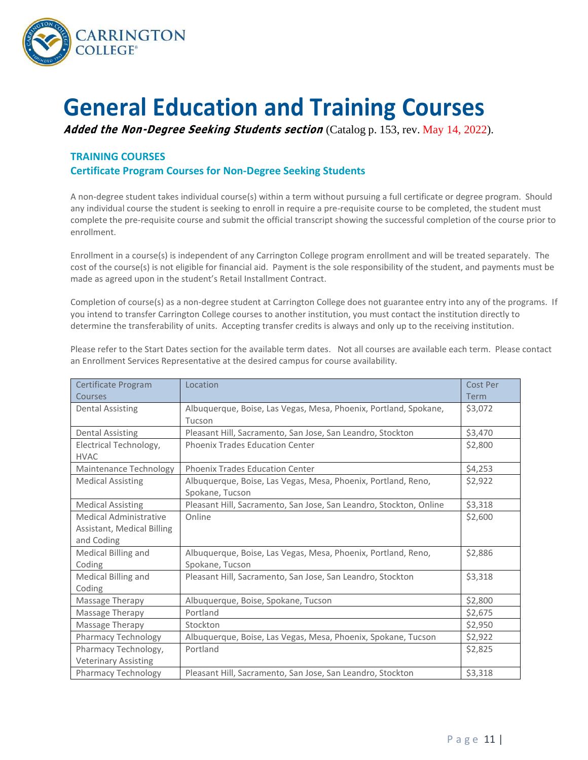

# **General Education and Training Courses**

**Added the Non-Degree Seeking Students section** (Catalog p. 153, rev. May 14, 2022).

### **TRAINING COURSES**

### **Certificate Program Courses for Non-Degree Seeking Students**

A non-degree student takes individual course(s) within a term without pursuing a full certificate or degree program. Should any individual course the student is seeking to enroll in require a pre-requisite course to be completed, the student must complete the pre-requisite course and submit the official transcript showing the successful completion of the course prior to enrollment.

Enrollment in a course(s) is independent of any Carrington College program enrollment and will be treated separately. The cost of the course(s) is not eligible for financial aid. Payment is the sole responsibility of the student, and payments must be made as agreed upon in the student's Retail Installment Contract.

Completion of course(s) as a non-degree student at Carrington College does not guarantee entry into any of the programs. If you intend to transfer Carrington College courses to another institution, you must contact the institution directly to determine the transferability of units. Accepting transfer credits is always and only up to the receiving institution.

Please refer to the Start Dates section for the available term dates. Not all courses are available each term. Please contact an Enrollment Services Representative at the desired campus for course availability.

| Certificate Program                   | Location                                                           | Cost Per    |
|---------------------------------------|--------------------------------------------------------------------|-------------|
| Courses                               |                                                                    | <b>Term</b> |
| Dental Assisting                      | Albuquerque, Boise, Las Vegas, Mesa, Phoenix, Portland, Spokane,   | \$3,072     |
|                                       | Tucson                                                             |             |
| <b>Dental Assisting</b>               | Pleasant Hill, Sacramento, San Jose, San Leandro, Stockton         | \$3,470     |
| Electrical Technology,<br><b>HVAC</b> | <b>Phoenix Trades Education Center</b>                             | \$2,800     |
| Maintenance Technology                | <b>Phoenix Trades Education Center</b>                             | \$4,253     |
| <b>Medical Assisting</b>              | Albuquerque, Boise, Las Vegas, Mesa, Phoenix, Portland, Reno,      | \$2,922     |
|                                       | Spokane, Tucson                                                    |             |
| <b>Medical Assisting</b>              | Pleasant Hill, Sacramento, San Jose, San Leandro, Stockton, Online | \$3,318     |
| <b>Medical Administrative</b>         | Online                                                             | \$2,600     |
| Assistant, Medical Billing            |                                                                    |             |
| and Coding                            |                                                                    |             |
| Medical Billing and                   | Albuquerque, Boise, Las Vegas, Mesa, Phoenix, Portland, Reno,      | \$2,886     |
| Coding                                | Spokane, Tucson                                                    |             |
| Medical Billing and                   | Pleasant Hill, Sacramento, San Jose, San Leandro, Stockton         | \$3,318     |
| Coding                                |                                                                    |             |
| Massage Therapy                       | Albuquerque, Boise, Spokane, Tucson                                | \$2,800     |
| Massage Therapy                       | Portland                                                           | \$2,675     |
| Massage Therapy                       | Stockton                                                           | \$2,950     |
| Pharmacy Technology                   | Albuquerque, Boise, Las Vegas, Mesa, Phoenix, Spokane, Tucson      | \$2,922     |
| Pharmacy Technology,                  | Portland                                                           | \$2,825     |
| <b>Veterinary Assisting</b>           |                                                                    |             |
| Pharmacy Technology                   | Pleasant Hill, Sacramento, San Jose, San Leandro, Stockton         | \$3,318     |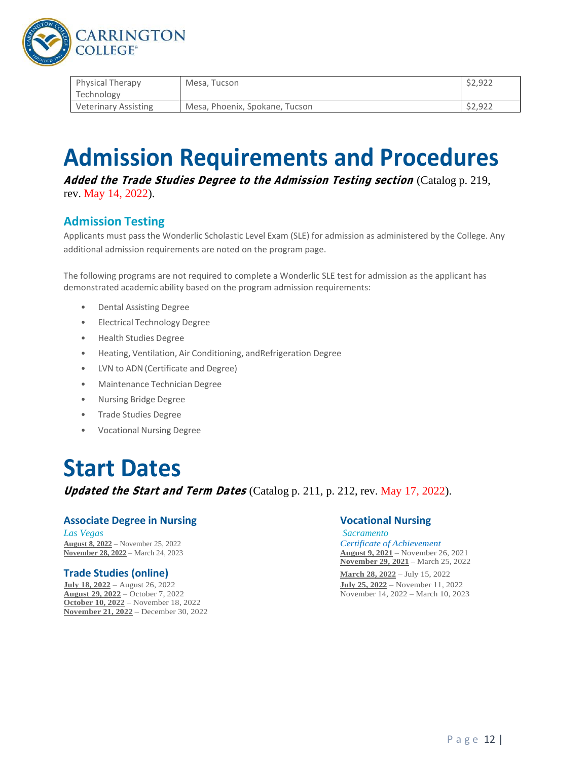

| <b>Physical Therapy</b>     | Mesa. Tucson                   | \$2.922 |
|-----------------------------|--------------------------------|---------|
| Technology                  |                                |         |
| <b>Veterinary Assisting</b> | Mesa, Phoenix, Spokane, Tucson | \$2.922 |

# **Admission Requirements and Procedures**

**Added the Trade Studies Degree to the Admission Testing section** (Catalog p. 219, rev. May 14, 2022).

## **Admission Testing**

Applicants must pass the Wonderlic Scholastic Level Exam (SLE) for admission as administered by the College. Any additional admission requirements are noted on the program page.

The following programs are not required to complete a Wonderlic SLE test for admission as the applicant has demonstrated academic ability based on the program admission requirements:

- Dental Assisting Degree
- Electrical Technology Degree
- Health Studies Degree
- Heating, Ventilation, Air Conditioning, andRefrigeration Degree
- LVN to ADN(Certificate and Degree)
- Maintenance Technician Degree
- Nursing Bridge Degree
- Trade Studies Degree
- Vocational Nursing Degree

# **Start Dates**

**Updated the Start and Term Dates** (Catalog p. 211, p. 212, rev. May 17, 2022).

### **Associate Degree in Nursing Vocational Nursing**

*Las Vegas Sacramento* **August 8, 2022** – November 25, 2022 *Certificate of Achievement*

**July 18, 2022** – August 26, 2022 **July 25, 2022** – November 11, 2022 **October 10, 2022** – November 18, 2022 **November 21, 2022** – December 30, 2022

**November 28, 2022** – March 24, 2023 **August 9, 2021** – November 26, 2021 **November 29, 2021** – March 25, 2022

**Trade Studies (online) March 28, 2022** – July 15, 2022 November 14, 2022 – March 10, 2023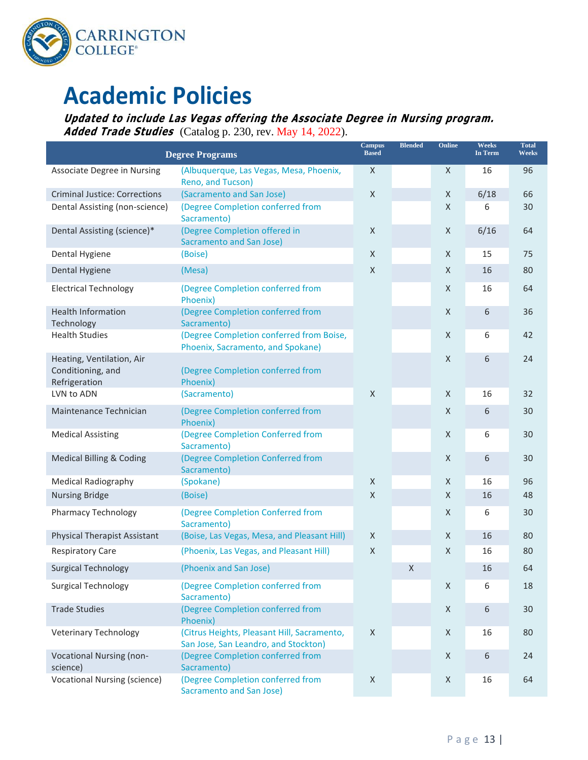

# **Academic Policies**

**Updated to include Las Vegas offering the Associate Degree in Nursing program. Added Trade Studies** (Catalog p. 230, rev. May 14, 2022).

| <b>Degree Programs</b>                                          |                                                                                     | <b>Campus</b><br><b>Based</b> | <b>Blended</b> | Online      | <b>Weeks</b><br><b>In Term</b> | <b>Total</b><br><b>Weeks</b> |
|-----------------------------------------------------------------|-------------------------------------------------------------------------------------|-------------------------------|----------------|-------------|--------------------------------|------------------------------|
| Associate Degree in Nursing                                     | (Albuquerque, Las Vegas, Mesa, Phoenix,<br>Reno, and Tucson)                        | X                             |                | X           | 16                             | 96                           |
| <b>Criminal Justice: Corrections</b>                            | (Sacramento and San Jose)                                                           | $\mathsf X$                   |                | X           | 6/18                           | 66                           |
| Dental Assisting (non-science)                                  | (Degree Completion conferred from<br>Sacramento)                                    |                               |                | X           | 6                              | 30                           |
| Dental Assisting (science)*                                     | (Degree Completion offered in<br><b>Sacramento and San Jose)</b>                    | X                             |                | X           | 6/16                           | 64                           |
| Dental Hygiene                                                  | (Boise)                                                                             | X                             |                | X           | 15                             | 75                           |
| Dental Hygiene                                                  | (Mesa)                                                                              | X                             |                | X           | 16                             | 80                           |
| <b>Electrical Technology</b>                                    | (Degree Completion conferred from<br>Phoenix)                                       |                               |                | X           | 16                             | 64                           |
| <b>Health Information</b><br>Technology                         | (Degree Completion conferred from<br>Sacramento)                                    |                               |                | X           | 6                              | 36                           |
| <b>Health Studies</b>                                           | (Degree Completion conferred from Boise,<br>Phoenix, Sacramento, and Spokane)       |                               |                | X           | 6                              | 42                           |
| Heating, Ventilation, Air<br>Conditioning, and<br>Refrigeration | (Degree Completion conferred from<br>Phoenix)                                       |                               |                | X           | 6                              | 24                           |
| LVN to ADN                                                      | (Sacramento)                                                                        | $\mathsf X$                   |                | X           | 16                             | 32                           |
| Maintenance Technician                                          | (Degree Completion conferred from<br>Phoenix)                                       |                               |                | X           | 6                              | 30                           |
| <b>Medical Assisting</b>                                        | (Degree Completion Conferred from<br>Sacramento)                                    |                               |                | X           | 6                              | 30                           |
| <b>Medical Billing &amp; Coding</b>                             | (Degree Completion Conferred from<br>Sacramento)                                    |                               |                | $\mathsf X$ | 6                              | 30                           |
| <b>Medical Radiography</b>                                      | (Spokane)                                                                           | $\mathsf X$                   |                | X           | 16                             | 96                           |
| <b>Nursing Bridge</b>                                           | (Boise)                                                                             | X                             |                | X           | 16                             | 48                           |
| Pharmacy Technology                                             | (Degree Completion Conferred from<br>Sacramento)                                    |                               |                | X           | 6                              | 30                           |
| <b>Physical Therapist Assistant</b>                             | (Boise, Las Vegas, Mesa, and Pleasant Hill)                                         | $\mathsf X$                   |                | $\mathsf X$ | 16                             | 80                           |
| <b>Respiratory Care</b>                                         | (Phoenix, Las Vegas, and Pleasant Hill)                                             | X                             |                | $\sf X$     | 16                             | 80                           |
| <b>Surgical Technology</b>                                      | (Phoenix and San Jose)                                                              |                               | X              |             | 16                             | 64                           |
| <b>Surgical Technology</b>                                      | (Degree Completion conferred from<br>Sacramento)                                    |                               |                | X           | 6                              | 18                           |
| <b>Trade Studies</b>                                            | (Degree Completion conferred from<br>Phoenix)                                       |                               |                | $\mathsf X$ | 6                              | 30                           |
| <b>Veterinary Technology</b>                                    | (Citrus Heights, Pleasant Hill, Sacramento,<br>San Jose, San Leandro, and Stockton) | $\mathsf X$                   |                | Χ           | 16                             | 80                           |
| Vocational Nursing (non-<br>science)                            | (Degree Completion conferred from<br>Sacramento)                                    |                               |                | X           | 6                              | 24                           |
| <b>Vocational Nursing (science)</b>                             | (Degree Completion conferred from<br><b>Sacramento and San Jose)</b>                | X                             |                | Χ           | 16                             | 64                           |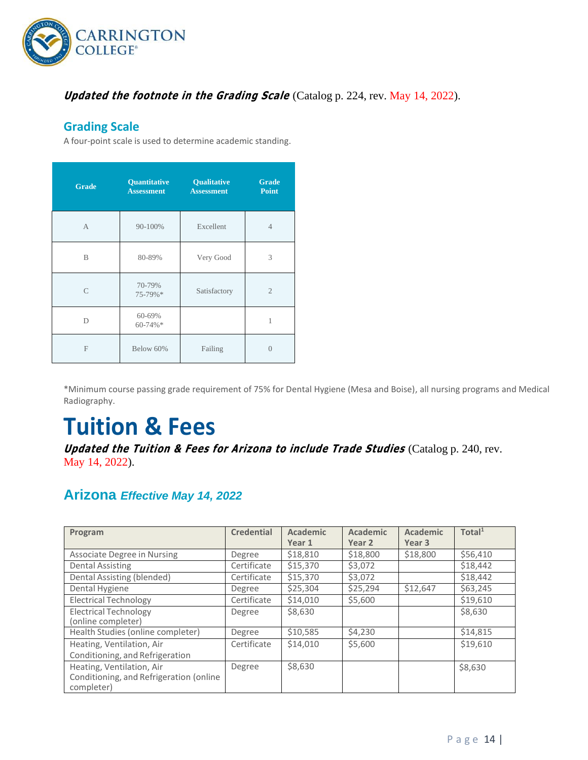

## **Updated the footnote in the Grading Scale** (Catalog p. 224, rev. May 14, 2022).

### **Grading Scale**

A four-point scale is used to determine academic standing.

| <b>Grade</b>  | Quantitative<br><b>Assessment</b> | <b>Qualitative</b><br><b>Assessment</b> | <b>Grade</b><br><b>Point</b> |
|---------------|-----------------------------------|-----------------------------------------|------------------------------|
| $\mathsf{A}$  | 90-100%                           | Excellent                               | $\overline{4}$               |
| B             | 80-89%                            | Very Good                               | 3                            |
| $\mathcal{C}$ | 70-79%<br>75-79%*                 | Satisfactory                            | $\mathfrak{2}$               |
| D             | 60-69%<br>60-74%*                 |                                         | 1                            |
| F             | Below 60%                         | Failing                                 | $\Omega$                     |

\*Minimum course passing grade requirement of 75% for Dental Hygiene (Mesa and Boise), all nursing programs and Medical Radiography.

# **Tuition & Fees**

**Updated the Tuition & Fees for Arizona to include Trade Studies** (Catalog p. 240, rev. May 14, 2022).

# **Arizona** *Effective May 14, 2022*

| Program                                                                            | <b>Credential</b> | Academic<br>Year 1 | <b>Academic</b><br>Year 2 | <b>Academic</b><br>Year 3 | Total <sup>1</sup> |
|------------------------------------------------------------------------------------|-------------------|--------------------|---------------------------|---------------------------|--------------------|
| Associate Degree in Nursing                                                        | Degree            | \$18,810           | \$18,800                  | \$18,800                  | \$56,410           |
| <b>Dental Assisting</b>                                                            | Certificate       | \$15,370           | \$3,072                   |                           | \$18,442           |
| Dental Assisting (blended)                                                         | Certificate       | \$15,370           | \$3,072                   |                           | \$18,442           |
| Dental Hygiene                                                                     | Degree            | \$25,304           | \$25,294                  | \$12,647                  | \$63,245           |
| <b>Electrical Technology</b>                                                       | Certificate       | \$14,010           | \$5,600                   |                           | \$19,610           |
| <b>Electrical Technology</b><br>(online completer)                                 | Degree            | \$8,630            |                           |                           | \$8,630            |
| Health Studies (online completer)                                                  | Degree            | \$10,585           | \$4,230                   |                           | \$14,815           |
| Heating, Ventilation, Air<br>Conditioning, and Refrigeration                       | Certificate       | \$14,010           | \$5,600                   |                           | \$19.610           |
| Heating, Ventilation, Air<br>Conditioning, and Refrigeration (online<br>completer) | Degree            | \$8,630            |                           |                           | \$8,630            |